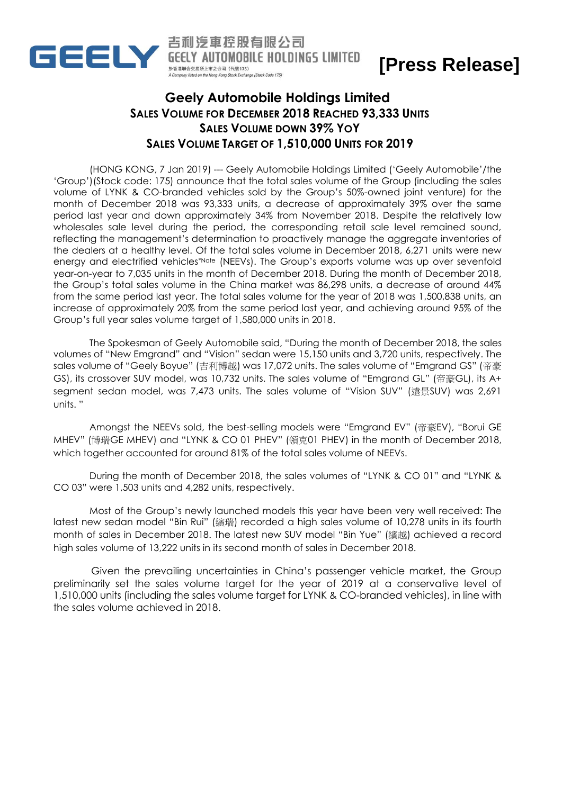

吉利汽車控股有限公司 **GEELY AUTOMOBILE HOLDINGS LIMITED** 於香港聯合交易所上市之公司 (代號175)

## **[Press Release]**

## **Geely Automobile Holdings Limited SALES VOLUME FOR DECEMBER 2018 REACHED 93,333 UNITS SALES VOLUME DOWN 39% YOY SALES VOLUME TARGET OF 1,510,000 UNITS FOR 2019**

(HONG KONG, 7 Jan 2019) --- Geely Automobile Holdings Limited ('Geely Automobile'/the 'Group')(Stock code: 175) announce that the total sales volume of the Group (including the sales volume of LYNK & CO-branded vehicles sold by the Group's 50%-owned joint venture) for the month of December 2018 was 93,333 units, a decrease of approximately 39% over the same period last year and down approximately 34% from November 2018. Despite the relatively low wholesales sale level during the period, the corresponding retail sale level remained sound, reflecting the management's determination to proactively manage the aggregate inventories of the dealers at a healthy level. Of the total sales volume in December 2018, 6,271 units were new energy and electrified vehicles\*Note (NEEVs). The Group's exports volume was up over sevenfold year-on-year to 7,035 units in the month of December 2018. During the month of December 2018, the Group's total sales volume in the China market was 86,298 units, a decrease of around 44% from the same period last year. The total sales volume for the year of 2018 was 1,500,838 units, an increase of approximately 20% from the same period last year, and achieving around 95% of the Group's full year sales volume target of 1,580,000 units in 2018.

The Spokesman of Geely Automobile said, "During the month of December 2018, the sales volumes of "New Emgrand" and "Vision" sedan were 15,150 units and 3,720 units, respectively. The sales volume of "Geely Boyue" (吉利博越) was 17,072 units. The sales volume of "Emgrand GS" (帝豪 GS), its crossover SUV model, was 10,732 units. The sales volume of "Emgrand GL" (帝豪GL), its A+ segment sedan model, was 7,473 units. The sales volume of "Vision SUV" (遠景SUV) was 2,691 units. "

Amongst the NEEVs sold, the best-selling models were "Emgrand EV" (帝豪EV), "Borui GE MHEV" (博瑞GE MHEV) and "LYNK & CO 01 PHEV" (領克01 PHEV) in the month of December 2018, which together accounted for around 81% of the total sales volume of NEEVs.

During the month of December 2018, the sales volumes of "LYNK & CO 01" and "LYNK & CO 03" were 1,503 units and 4,282 units, respectively.

Most of the Group's newly launched models this year have been very well received: The latest new sedan model "Bin Rui" (繽瑞) recorded a high sales volume of 10,278 units in its fourth month of sales in December 2018. The latest new SUV model "Bin Yue" (繽越) achieved a record high sales volume of 13,222 units in its second month of sales in December 2018.

Given the prevailing uncertainties in China's passenger vehicle market, the Group preliminarily set the sales volume target for the year of 2019 at a conservative level of 1,510,000 units (including the sales volume target for LYNK & CO-branded vehicles), in line with the sales volume achieved in 2018.